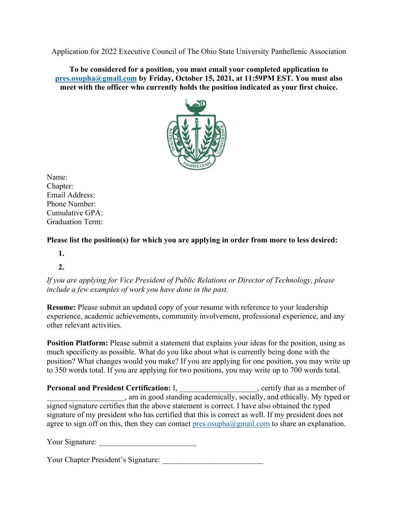Application for 2022 Executive Council of The Ohio State University Panhellenic Association

**To be considered for a position, you must email your completed application to pres.osupha@gmail.com by Friday, October 15, 2021, at 11:59PM EST. You must also meet with the officer who currently holds the position indicated as your first choice.**



Name: Chapter: Email Address: Phone Number: Cumulative GPA: Graduation Term:

**Please list the position(s) for which you are applying in order from more to less desired:**

- **1.**
- **2.**

*If you are applying for Vice President of Public Relations or Director of Technology, please include a few examples of work you have done in the past.*

**Resume:** Please submit an updated copy of your resume with reference to your leadership experience, academic achievements, community involvement, professional experience, and any other relevant activities.

**Position Platform:** Please submit a statement that explains your ideas for the position, using as much specificity as possible. What do you like about what is currently being done with the position? What changes would you make? If you are applying for one position, you may write up to 350 words total. If you are applying for two positions, you may write up to 700 words total.

**Personal and President Certification:** I, \_\_\_\_\_\_\_\_\_\_\_\_\_\_\_\_\_\_\_, certify that as a member of \_\_\_\_\_\_\_\_\_\_\_\_\_\_\_\_\_\_\_\_, am in good standing academically, socially, and ethically. My typed or signed signature certifies that the above statement is correct. I have also obtained the typed signature of my president who has certified that this is correct as well. If my president does not agree to sign off on this, then they can contact pres.osupha@gmail.com to share an explanation.

Your Signature:

Your Chapter President's Signature: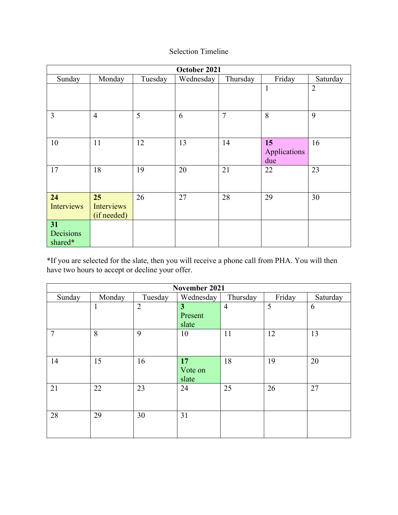## Selection Timeline

| October 2021               |                                        |         |           |                |                           |                |
|----------------------------|----------------------------------------|---------|-----------|----------------|---------------------------|----------------|
| Sunday                     | Monday                                 | Tuesday | Wednesday | Thursday       | Friday                    | Saturday       |
|                            |                                        |         |           |                | $\mathbf{1}$              | $\overline{2}$ |
| $\overline{3}$             | $\overline{4}$                         | 5       | 6         | $\overline{7}$ | 8                         | 9              |
| 10                         | 11                                     | 12      | 13        | 14             | 15<br>Applications<br>due | 16             |
| 17                         | 18                                     | 19      | 20        | 21             | 22                        | 23             |
| 24<br>Interviews           | 25<br><b>Interviews</b><br>(if needed) | 26      | 27        | 28             | 29                        | 30             |
| 31<br>Decisions<br>shared* |                                        |         |           |                |                           |                |

\*If you are selected for the slate, then you will receive a phone call from PHA. You will then have two hours to accept or decline your offer.

| November 2021  |              |                |                        |                |        |          |
|----------------|--------------|----------------|------------------------|----------------|--------|----------|
| Sunday         | Monday       | Tuesday        | Wednesday              | Thursday       | Friday | Saturday |
|                | $\mathbf{I}$ | $\overline{2}$ | 3<br>Present<br>slate  | $\overline{4}$ | 5      | 6        |
| $\overline{7}$ | 8            | 9              | 10                     | 11             | 12     | 13       |
| 14             | 15           | 16             | 17<br>Vote on<br>slate | 18             | 19     | 20       |
| 21             | 22           | 23             | 24                     | 25             | 26     | 27       |
| 28             | 29           | 30             | 31                     |                |        |          |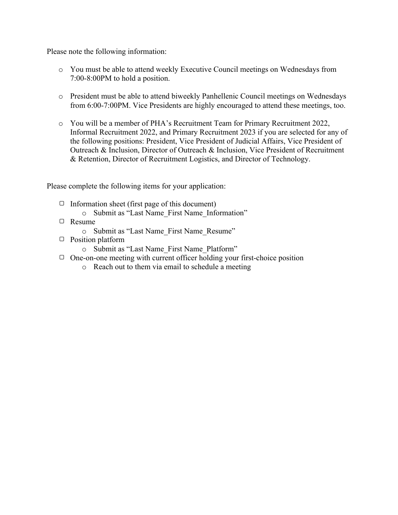Please note the following information:

- o You must be able to attend weekly Executive Council meetings on Wednesdays from 7:00-8:00PM to hold a position.
- o President must be able to attend biweekly Panhellenic Council meetings on Wednesdays from 6:00-7:00PM. Vice Presidents are highly encouraged to attend these meetings, too.
- o You will be a member of PHA's Recruitment Team for Primary Recruitment 2022, Informal Recruitment 2022, and Primary Recruitment 2023 if you are selected for any of the following positions: President, Vice President of Judicial Affairs, Vice President of Outreach & Inclusion, Director of Outreach & Inclusion, Vice President of Recruitment & Retention, Director of Recruitment Logistics, and Director of Technology.

Please complete the following items for your application:

- $\Box$  Information sheet (first page of this document)
	- o Submit as "Last Name\_First Name\_Information"
- Resume
	- o Submit as "Last Name\_First Name\_Resume"
- $\Box$  Position platform
	- o Submit as "Last Name\_First Name\_Platform"
- $\Box$  One-on-one meeting with current officer holding your first-choice position
	- o Reach out to them via email to schedule a meeting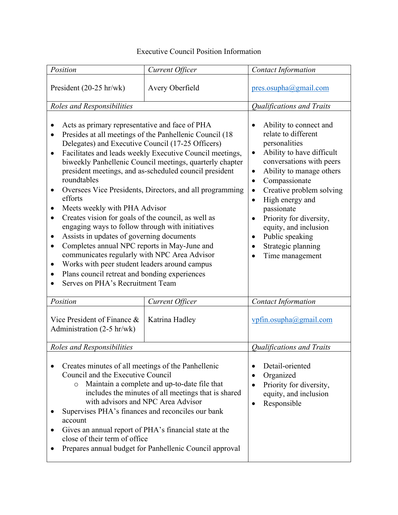## Executive Council Position Information

| Position                                                                                                                                                                                                                                                                                                                                                                                                                                                                                                                                                                                                                                                                                                                                                                                                                                                                                                                              | Current Officer | <b>Contact Information</b>                                                                                                                                                                                                                                                                                                                                                               |
|---------------------------------------------------------------------------------------------------------------------------------------------------------------------------------------------------------------------------------------------------------------------------------------------------------------------------------------------------------------------------------------------------------------------------------------------------------------------------------------------------------------------------------------------------------------------------------------------------------------------------------------------------------------------------------------------------------------------------------------------------------------------------------------------------------------------------------------------------------------------------------------------------------------------------------------|-----------------|------------------------------------------------------------------------------------------------------------------------------------------------------------------------------------------------------------------------------------------------------------------------------------------------------------------------------------------------------------------------------------------|
| President $(20-25 \text{ hr/wk})$                                                                                                                                                                                                                                                                                                                                                                                                                                                                                                                                                                                                                                                                                                                                                                                                                                                                                                     | Avery Oberfield | pres.osupha@gmail.com                                                                                                                                                                                                                                                                                                                                                                    |
| Roles and Responsibilities                                                                                                                                                                                                                                                                                                                                                                                                                                                                                                                                                                                                                                                                                                                                                                                                                                                                                                            |                 | Qualifications and Traits                                                                                                                                                                                                                                                                                                                                                                |
| Acts as primary representative and face of PHA<br>Presides at all meetings of the Panhellenic Council (18<br>$\bullet$<br>Delegates) and Executive Council (17-25 Officers)<br>Facilitates and leads weekly Executive Council meetings,<br>$\bullet$<br>biweekly Panhellenic Council meetings, quarterly chapter<br>president meetings, and as-scheduled council president<br>roundtables<br>Oversees Vice Presidents, Directors, and all programming<br>٠<br>efforts<br>Meets weekly with PHA Advisor<br>٠<br>Creates vision for goals of the council, as well as<br>٠<br>engaging ways to follow through with initiatives<br>Assists in updates of governing documents<br>٠<br>Completes annual NPC reports in May-June and<br>٠<br>communicates regularly with NPC Area Advisor<br>Works with peer student leaders around campus<br>$\bullet$<br>Plans council retreat and bonding experiences<br>Serves on PHA's Recruitment Team |                 | Ability to connect and<br>relate to different<br>personalities<br>Ability to have difficult<br>$\bullet$<br>conversations with peers<br>Ability to manage others<br>$\bullet$<br>Compassionate<br>$\bullet$<br>Creative problem solving<br>High energy and<br>passionate<br>Priority for diversity,<br>equity, and inclusion<br>Public speaking<br>Strategic planning<br>Time management |
| Position                                                                                                                                                                                                                                                                                                                                                                                                                                                                                                                                                                                                                                                                                                                                                                                                                                                                                                                              | Current Officer | <b>Contact Information</b>                                                                                                                                                                                                                                                                                                                                                               |
| Vice President of Finance &<br>Katrina Hadley<br>Administration (2-5 hr/wk)                                                                                                                                                                                                                                                                                                                                                                                                                                                                                                                                                                                                                                                                                                                                                                                                                                                           |                 | vpfin.osupha@gmail.com                                                                                                                                                                                                                                                                                                                                                                   |
| Roles and Responsibilities                                                                                                                                                                                                                                                                                                                                                                                                                                                                                                                                                                                                                                                                                                                                                                                                                                                                                                            |                 | Qualifications and Traits                                                                                                                                                                                                                                                                                                                                                                |
| Creates minutes of all meetings of the Panhellenic<br>Council and the Executive Council<br>Maintain a complete and up-to-date file that<br>$\circ$<br>includes the minutes of all meetings that is shared<br>with advisors and NPC Area Advisor<br>Supervises PHA's finances and reconciles our bank<br>account<br>Gives an annual report of PHA's financial state at the<br>close of their term of office<br>Prepares annual budget for Panhellenic Council approval                                                                                                                                                                                                                                                                                                                                                                                                                                                                 |                 | Detail-oriented<br>Organized<br>Priority for diversity,<br>equity, and inclusion<br>Responsible<br>٠                                                                                                                                                                                                                                                                                     |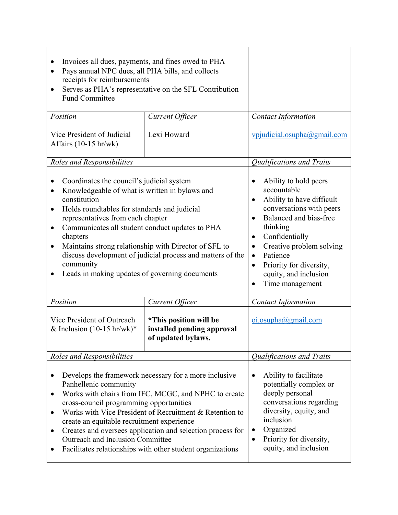| Invoices all dues, payments, and fines owed to PHA<br>Pays annual NPC dues, all PHA bills, and collects<br>$\bullet$<br>receipts for reimbursements<br>Serves as PHA's representative on the SFL Contribution<br>$\bullet$<br><b>Fund Committee</b><br>Position                                                                                                                                                                                                                                   | <b>Contact Information</b>                                                                                                                                                                                                                                                                                                    |                               |
|---------------------------------------------------------------------------------------------------------------------------------------------------------------------------------------------------------------------------------------------------------------------------------------------------------------------------------------------------------------------------------------------------------------------------------------------------------------------------------------------------|-------------------------------------------------------------------------------------------------------------------------------------------------------------------------------------------------------------------------------------------------------------------------------------------------------------------------------|-------------------------------|
| Lexi Howard<br>Vice President of Judicial<br>Affairs $(10-15 \text{ hr/wk})$                                                                                                                                                                                                                                                                                                                                                                                                                      |                                                                                                                                                                                                                                                                                                                               | vpjudicial.osupha@gmail.com   |
| Roles and Responsibilities                                                                                                                                                                                                                                                                                                                                                                                                                                                                        |                                                                                                                                                                                                                                                                                                                               | Qualifications and Traits     |
| Coordinates the council's judicial system<br>Knowledgeable of what is written in bylaws and<br>$\bullet$<br>constitution<br>Holds roundtables for standards and judicial<br>$\bullet$<br>representatives from each chapter<br>Communicates all student conduct updates to PHA<br>٠<br>chapters<br>Maintains strong relationship with Director of SFL to<br>$\bullet$<br>discuss development of judicial process and matters of the<br>community<br>Leads in making updates of governing documents | Ability to hold peers<br>accountable<br>Ability to have difficult<br>conversations with peers<br>Balanced and bias-free<br>$\bullet$<br>thinking<br>Confidentially<br>Creative problem solving<br>٠<br>Patience<br>$\bullet$<br>Priority for diversity,<br>$\bullet$<br>equity, and inclusion<br>Time management<br>$\bullet$ |                               |
| Position                                                                                                                                                                                                                                                                                                                                                                                                                                                                                          | Current Officer                                                                                                                                                                                                                                                                                                               | <b>Contact Information</b>    |
| Vice President of Outreach<br>*This position will be<br>& Inclusion $(10-15 \text{ hr/wk})^*$<br>installed pending approval<br>of updated bylaws.                                                                                                                                                                                                                                                                                                                                                 |                                                                                                                                                                                                                                                                                                                               | $o$ <i>i.osupha@gmail.com</i> |
| Roles and Responsibilities                                                                                                                                                                                                                                                                                                                                                                                                                                                                        |                                                                                                                                                                                                                                                                                                                               | Qualifications and Traits     |
| Develops the framework necessary for a more inclusive<br>$\bullet$<br>Panhellenic community<br>Works with chairs from IFC, MCGC, and NPHC to create<br>$\bullet$<br>cross-council programming opportunities<br>Works with Vice President of Recruitment & Retention to<br>٠<br>create an equitable recruitment experience<br>Creates and oversees application and selection process for<br>٠<br>Outreach and Inclusion Committee<br>Facilitates relationships with other student organizations    | Ability to facilitate<br>٠<br>potentially complex or<br>deeply personal<br>conversations regarding<br>diversity, equity, and<br>inclusion<br>Organized<br>Priority for diversity,<br>equity, and inclusion                                                                                                                    |                               |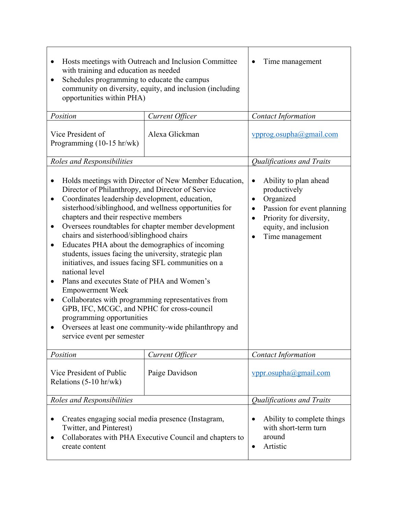| Hosts meetings with Outreach and Inclusion Committee<br>$\bullet$<br>with training and education as needed<br>Schedules programming to educate the campus<br>$\bullet$<br>community on diversity, equity, and inclusion (including<br>opportunities within PHA)<br>Position                                                                                                                                                                                                                                                                                                                                                                                                                                                                                                                                                                                                                                      | Time management<br>٠<br><b>Contact Information</b>                                                                                                                                                               |                                                                                                    |
|------------------------------------------------------------------------------------------------------------------------------------------------------------------------------------------------------------------------------------------------------------------------------------------------------------------------------------------------------------------------------------------------------------------------------------------------------------------------------------------------------------------------------------------------------------------------------------------------------------------------------------------------------------------------------------------------------------------------------------------------------------------------------------------------------------------------------------------------------------------------------------------------------------------|------------------------------------------------------------------------------------------------------------------------------------------------------------------------------------------------------------------|----------------------------------------------------------------------------------------------------|
| Vice President of<br>Programming $(10-15 \text{ hr/wk})$                                                                                                                                                                                                                                                                                                                                                                                                                                                                                                                                                                                                                                                                                                                                                                                                                                                         | Alexa Glickman                                                                                                                                                                                                   | vpprog.osupha@gmail.com                                                                            |
| Roles and Responsibilities                                                                                                                                                                                                                                                                                                                                                                                                                                                                                                                                                                                                                                                                                                                                                                                                                                                                                       |                                                                                                                                                                                                                  | Qualifications and Traits                                                                          |
| Holds meetings with Director of New Member Education,<br>$\bullet$<br>Director of Philanthropy, and Director of Service<br>Coordinates leadership development, education,<br>٠<br>sisterhood/siblinghood, and wellness opportunities for<br>chapters and their respective members<br>Oversees roundtables for chapter member development<br>٠<br>chairs and sisterhood/siblinghood chairs<br>Educates PHA about the demographics of incoming<br>$\bullet$<br>students, issues facing the university, strategic plan<br>initiatives, and issues facing SFL communities on a<br>national level<br>Plans and executes State of PHA and Women's<br>$\bullet$<br><b>Empowerment Week</b><br>Collaborates with programming representatives from<br>٠<br>GPB, IFC, MCGC, and NPHC for cross-council<br>programming opportunities<br>Oversees at least one community-wide philanthropy and<br>service event per semester | Ability to plan ahead<br>$\bullet$<br>productively<br>Organized<br>٠<br>Passion for event planning<br>$\bullet$<br>Priority for diversity,<br>$\bullet$<br>equity, and inclusion<br>Time management<br>$\bullet$ |                                                                                                    |
| Position                                                                                                                                                                                                                                                                                                                                                                                                                                                                                                                                                                                                                                                                                                                                                                                                                                                                                                         | Current Officer                                                                                                                                                                                                  | <b>Contact Information</b>                                                                         |
| Vice President of Public<br>Paige Davidson<br>Relations (5-10 hr/wk)                                                                                                                                                                                                                                                                                                                                                                                                                                                                                                                                                                                                                                                                                                                                                                                                                                             |                                                                                                                                                                                                                  | vppr.osupha@gmail.com                                                                              |
| Roles and Responsibilities                                                                                                                                                                                                                                                                                                                                                                                                                                                                                                                                                                                                                                                                                                                                                                                                                                                                                       | Qualifications and Traits                                                                                                                                                                                        |                                                                                                    |
| Creates engaging social media presence (Instagram,<br>$\bullet$<br>Twitter, and Pinterest)<br>Collaborates with PHA Executive Council and chapters to<br>create content                                                                                                                                                                                                                                                                                                                                                                                                                                                                                                                                                                                                                                                                                                                                          |                                                                                                                                                                                                                  | Ability to complete things<br>$\bullet$<br>with short-term turn<br>around<br>Artistic<br>$\bullet$ |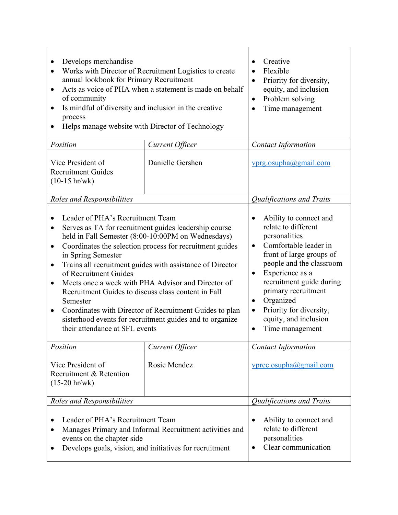| Develops merchandise<br>Works with Director of Recruitment Logistics to create<br>$\bullet$<br>annual lookbook for Primary Recruitment<br>Acts as voice of PHA when a statement is made on behalf<br>$\bullet$<br>of community<br>Is mindful of diversity and inclusion in the creative<br>٠<br>process<br>Helps manage website with Director of Technology                                                                                                                                                                                                                                                                                                                             | Creative<br>$\bullet$<br>Flexible<br>$\bullet$<br>Priority for diversity,<br>$\bullet$<br>equity, and inclusion<br>Problem solving<br>$\bullet$<br>Time management<br>$\bullet$ |                                                                                                                                                                                                                                                                                                                                                               |
|-----------------------------------------------------------------------------------------------------------------------------------------------------------------------------------------------------------------------------------------------------------------------------------------------------------------------------------------------------------------------------------------------------------------------------------------------------------------------------------------------------------------------------------------------------------------------------------------------------------------------------------------------------------------------------------------|---------------------------------------------------------------------------------------------------------------------------------------------------------------------------------|---------------------------------------------------------------------------------------------------------------------------------------------------------------------------------------------------------------------------------------------------------------------------------------------------------------------------------------------------------------|
| Position                                                                                                                                                                                                                                                                                                                                                                                                                                                                                                                                                                                                                                                                                | Current Officer                                                                                                                                                                 | <b>Contact Information</b>                                                                                                                                                                                                                                                                                                                                    |
| Vice President of<br><b>Recruitment Guides</b><br>$(10-15 hr/wk)$                                                                                                                                                                                                                                                                                                                                                                                                                                                                                                                                                                                                                       | Danielle Gershen                                                                                                                                                                | vprg.osupha@gmail.com                                                                                                                                                                                                                                                                                                                                         |
| Roles and Responsibilities                                                                                                                                                                                                                                                                                                                                                                                                                                                                                                                                                                                                                                                              |                                                                                                                                                                                 | <b>Qualifications and Traits</b>                                                                                                                                                                                                                                                                                                                              |
| Leader of PHA's Recruitment Team<br>$\bullet$<br>Serves as TA for recruitment guides leadership course<br>$\bullet$<br>held in Fall Semester (8:00-10:00PM on Wednesdays)<br>Coordinates the selection process for recruitment guides<br>$\bullet$<br>in Spring Semester<br>Trains all recruitment guides with assistance of Director<br>$\bullet$<br>of Recruitment Guides<br>Meets once a week with PHA Advisor and Director of<br>$\bullet$<br>Recruitment Guides to discuss class content in Fall<br>Semester<br>Coordinates with Director of Recruitment Guides to plan<br>$\bullet$<br>sisterhood events for recruitment guides and to organize<br>their attendance at SFL events |                                                                                                                                                                                 | Ability to connect and<br>relate to different<br>personalities<br>Comfortable leader in<br>$\bullet$<br>front of large groups of<br>people and the classroom<br>Experience as a<br>$\bullet$<br>recruitment guide during<br>primary recruitment<br>Organized<br>$\bullet$<br>Priority for diversity,<br>equity, and inclusion<br>Time management<br>$\bullet$ |
| Position                                                                                                                                                                                                                                                                                                                                                                                                                                                                                                                                                                                                                                                                                | Current Officer                                                                                                                                                                 | <b>Contact Information</b>                                                                                                                                                                                                                                                                                                                                    |
| Vice President of<br>Rosie Mendez<br>Recruitment & Retention<br>$(15-20 \text{ hr/wk})$                                                                                                                                                                                                                                                                                                                                                                                                                                                                                                                                                                                                 |                                                                                                                                                                                 | vprec.osupha@gmail.com                                                                                                                                                                                                                                                                                                                                        |
| Roles and Responsibilities                                                                                                                                                                                                                                                                                                                                                                                                                                                                                                                                                                                                                                                              | Qualifications and Traits                                                                                                                                                       |                                                                                                                                                                                                                                                                                                                                                               |
| Leader of PHA's Recruitment Team<br>Manages Primary and Informal Recruitment activities and<br>events on the chapter side<br>Develops goals, vision, and initiatives for recruitment<br>$\bullet$                                                                                                                                                                                                                                                                                                                                                                                                                                                                                       |                                                                                                                                                                                 | Ability to connect and<br>relate to different<br>personalities<br>Clear communication<br>$\bullet$                                                                                                                                                                                                                                                            |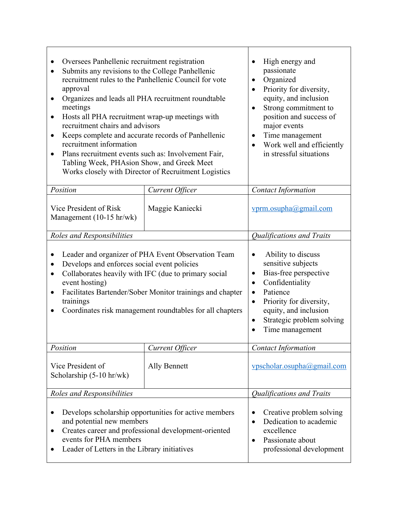| Oversees Panhellenic recruitment registration<br>Submits any revisions to the College Panhellenic<br>recruitment rules to the Panhellenic Council for vote<br>approval<br>Organizes and leads all PHA recruitment roundtable<br>$\bullet$<br>meetings<br>Hosts all PHA recruitment wrap-up meetings with<br>$\bullet$<br>recruitment chairs and advisors<br>Keeps complete and accurate records of Panhellenic<br>$\bullet$<br>recruitment information<br>Plans recruitment events such as: Involvement Fair,<br>$\bullet$<br>Tabling Week, PHAsion Show, and Greek Meet<br>Works closely with Director of Recruitment Logistics | High energy and<br>$\bullet$<br>passionate<br>Organized<br>Priority for diversity,<br>equity, and inclusion<br>Strong commitment to<br>$\bullet$<br>position and success of<br>major events<br>Time management<br>Work well and efficiently<br>in stressful situations |                                  |
|----------------------------------------------------------------------------------------------------------------------------------------------------------------------------------------------------------------------------------------------------------------------------------------------------------------------------------------------------------------------------------------------------------------------------------------------------------------------------------------------------------------------------------------------------------------------------------------------------------------------------------|------------------------------------------------------------------------------------------------------------------------------------------------------------------------------------------------------------------------------------------------------------------------|----------------------------------|
| Position                                                                                                                                                                                                                                                                                                                                                                                                                                                                                                                                                                                                                         | Current Officer                                                                                                                                                                                                                                                        | <b>Contact Information</b>       |
| Vice President of Risk<br>Maggie Kaniecki<br>Management (10-15 hr/wk)                                                                                                                                                                                                                                                                                                                                                                                                                                                                                                                                                            |                                                                                                                                                                                                                                                                        | vprm.osupha@gmail.com            |
| Roles and Responsibilities                                                                                                                                                                                                                                                                                                                                                                                                                                                                                                                                                                                                       |                                                                                                                                                                                                                                                                        | <b>Qualifications and Traits</b> |
| Leader and organizer of PHA Event Observation Team<br>Develops and enforces social event policies<br>٠<br>Collaborates heavily with IFC (due to primary social<br>$\bullet$<br>event hosting)<br>Facilitates Bartender/Sober Monitor trainings and chapter<br>$\bullet$<br>trainings<br>Coordinates risk management roundtables for all chapters                                                                                                                                                                                                                                                                                 | Ability to discuss<br>sensitive subjects<br>Bias-free perspective<br>٠<br>Confidentiality<br>٠<br>Patience<br>$\bullet$<br>Priority for diversity,<br>$\bullet$<br>equity, and inclusion<br>Strategic problem solving<br>$\bullet$<br>Time management                  |                                  |
| Position                                                                                                                                                                                                                                                                                                                                                                                                                                                                                                                                                                                                                         | Current Officer                                                                                                                                                                                                                                                        | <b>Contact Information</b>       |
| Vice President of<br>Ally Bennett<br>Scholarship (5-10 hr/wk)                                                                                                                                                                                                                                                                                                                                                                                                                                                                                                                                                                    |                                                                                                                                                                                                                                                                        | vpscholar.osupha@gmail.com       |
| Roles and Responsibilities                                                                                                                                                                                                                                                                                                                                                                                                                                                                                                                                                                                                       | Qualifications and Traits                                                                                                                                                                                                                                              |                                  |
| Develops scholarship opportunities for active members<br>and potential new members<br>Creates career and professional development-oriented<br>٠<br>events for PHA members<br>Leader of Letters in the Library initiatives<br>$\bullet$                                                                                                                                                                                                                                                                                                                                                                                           | Creative problem solving<br>Dedication to academic<br>excellence<br>Passionate about<br>$\bullet$<br>professional development                                                                                                                                          |                                  |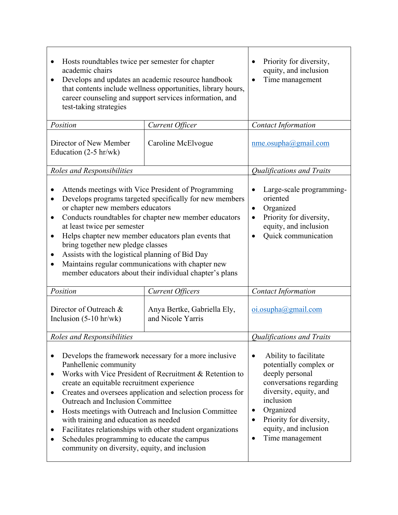| Hosts roundtables twice per semester for chapter<br>academic chairs<br>Develops and updates an academic resource handbook<br>$\bullet$<br>that contents include wellness opportunities, library hours,<br>career counseling and support services information, and<br>test-taking strategies                                                                                                                                                                                                                                                                                                  | Priority for diversity,<br>equity, and inclusion<br>Time management                                                                                                                                                                                |                                  |
|----------------------------------------------------------------------------------------------------------------------------------------------------------------------------------------------------------------------------------------------------------------------------------------------------------------------------------------------------------------------------------------------------------------------------------------------------------------------------------------------------------------------------------------------------------------------------------------------|----------------------------------------------------------------------------------------------------------------------------------------------------------------------------------------------------------------------------------------------------|----------------------------------|
| Position                                                                                                                                                                                                                                                                                                                                                                                                                                                                                                                                                                                     | Current Officer                                                                                                                                                                                                                                    | <b>Contact Information</b>       |
| Director of New Member<br>Education $(2-5 hr/wk)$                                                                                                                                                                                                                                                                                                                                                                                                                                                                                                                                            | Caroline McElvogue                                                                                                                                                                                                                                 | $n$ me.osupha@gmail.com          |
| Roles and Responsibilities                                                                                                                                                                                                                                                                                                                                                                                                                                                                                                                                                                   |                                                                                                                                                                                                                                                    | Qualifications and Traits        |
| Attends meetings with Vice President of Programming<br>Develops programs targeted specifically for new members<br>$\bullet$<br>or chapter new members educators<br>Conducts roundtables for chapter new member educators<br>٠<br>at least twice per semester<br>Helps chapter new member educators plan events that<br>$\bullet$<br>bring together new pledge classes<br>Assists with the logistical planning of Bid Day<br>$\bullet$<br>Maintains regular communications with chapter new<br>$\bullet$<br>member educators about their individual chapter's plans                           | Large-scale programming-<br>oriented<br>Organized<br>٠<br>Priority for diversity,<br>equity, and inclusion<br>Quick communication                                                                                                                  |                                  |
| Position                                                                                                                                                                                                                                                                                                                                                                                                                                                                                                                                                                                     | <b>Current Officers</b>                                                                                                                                                                                                                            | <b>Contact Information</b>       |
| Director of Outreach &<br>Inclusion $(5-10$ hr/wk)                                                                                                                                                                                                                                                                                                                                                                                                                                                                                                                                           | Anya Bertke, Gabriella Ely,<br>and Nicole Yarris                                                                                                                                                                                                   |                                  |
| Roles and Responsibilities                                                                                                                                                                                                                                                                                                                                                                                                                                                                                                                                                                   |                                                                                                                                                                                                                                                    | <b>Qualifications and Traits</b> |
| Develops the framework necessary for a more inclusive<br>Panhellenic community<br>Works with Vice President of Recruitment & Retention to<br>$\bullet$<br>create an equitable recruitment experience<br>Creates and oversees application and selection process for<br>٠<br>Outreach and Inclusion Committee<br>Hosts meetings with Outreach and Inclusion Committee<br>٠<br>with training and education as needed<br>Facilitates relationships with other student organizations<br>$\bullet$<br>Schedules programming to educate the campus<br>community on diversity, equity, and inclusion | Ability to facilitate<br>$\bullet$<br>potentially complex or<br>deeply personal<br>conversations regarding<br>diversity, equity, and<br>inclusion<br>Organized<br>$\bullet$<br>Priority for diversity,<br>equity, and inclusion<br>Time management |                                  |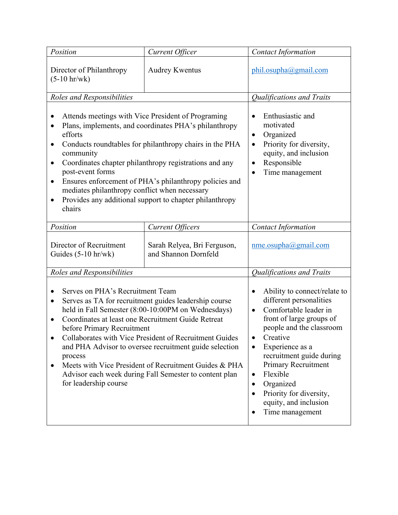| Position                                                                                                                                                                                                                                                                                                                                                                                                                                                                                                                                              | Current Officer                                                                                                                                                              | Contact Information                                                                                                                                                                                                                                                                                                                                                                                     |
|-------------------------------------------------------------------------------------------------------------------------------------------------------------------------------------------------------------------------------------------------------------------------------------------------------------------------------------------------------------------------------------------------------------------------------------------------------------------------------------------------------------------------------------------------------|------------------------------------------------------------------------------------------------------------------------------------------------------------------------------|---------------------------------------------------------------------------------------------------------------------------------------------------------------------------------------------------------------------------------------------------------------------------------------------------------------------------------------------------------------------------------------------------------|
| Director of Philanthropy<br>$(5-10 \ hr/wk)$                                                                                                                                                                                                                                                                                                                                                                                                                                                                                                          | <b>Audrey Kwentus</b>                                                                                                                                                        | phil.osupha@gmail.com                                                                                                                                                                                                                                                                                                                                                                                   |
| Roles and Responsibilities                                                                                                                                                                                                                                                                                                                                                                                                                                                                                                                            |                                                                                                                                                                              | Qualifications and Traits                                                                                                                                                                                                                                                                                                                                                                               |
| Attends meetings with Vice President of Programing<br>Plans, implements, and coordinates PHA's philanthropy<br>$\bullet$<br>efforts<br>Conducts roundtables for philanthropy chairs in the PHA<br>$\bullet$<br>community<br>Coordinates chapter philanthropy registrations and any<br>post-event forms<br>Ensures enforcement of PHA's philanthropy policies and<br>$\bullet$<br>mediates philanthropy conflict when necessary<br>Provides any additional support to chapter philanthropy<br>$\bullet$<br>chairs                                      | Enthusiastic and<br>$\bullet$<br>motivated<br>Organized<br>٠<br>Priority for diversity,<br>equity, and inclusion<br>Responsible<br>$\bullet$<br>Time management<br>$\bullet$ |                                                                                                                                                                                                                                                                                                                                                                                                         |
| Position                                                                                                                                                                                                                                                                                                                                                                                                                                                                                                                                              | <b>Current Officers</b>                                                                                                                                                      | <b>Contact Information</b>                                                                                                                                                                                                                                                                                                                                                                              |
| Director of Recruitment<br>Sarah Relyea, Bri Ferguson,<br>Guides (5-10 hr/wk)<br>and Shannon Dornfeld                                                                                                                                                                                                                                                                                                                                                                                                                                                 |                                                                                                                                                                              | $n$ me.osupha@gmail.com                                                                                                                                                                                                                                                                                                                                                                                 |
| Roles and Responsibilities                                                                                                                                                                                                                                                                                                                                                                                                                                                                                                                            |                                                                                                                                                                              | <b>Qualifications and Traits</b>                                                                                                                                                                                                                                                                                                                                                                        |
| Serves on PHA's Recruitment Team<br>Serves as TA for recruitment guides leadership course<br>$\bullet$<br>held in Fall Semester (8:00-10:00PM on Wednesdays)<br>Coordinates at least one Recruitment Guide Retreat<br>$\bullet$<br>before Primary Recruitment<br>Collaborates with Vice President of Recruitment Guides<br>and PHA Advisor to oversee recruitment guide selection<br>process<br>Meets with Vice President of Recruitment Guides & PHA<br>$\bullet$<br>Advisor each week during Fall Semester to content plan<br>for leadership course |                                                                                                                                                                              | Ability to connect/relate to<br>٠<br>different personalities<br>Comfortable leader in<br>$\bullet$<br>front of large groups of<br>people and the classroom<br>Creative<br>Experience as a<br>$\bullet$<br>recruitment guide during<br><b>Primary Recruitment</b><br>Flexible<br>$\bullet$<br>Organized<br>Priority for diversity,<br>$\bullet$<br>equity, and inclusion<br>Time management<br>$\bullet$ |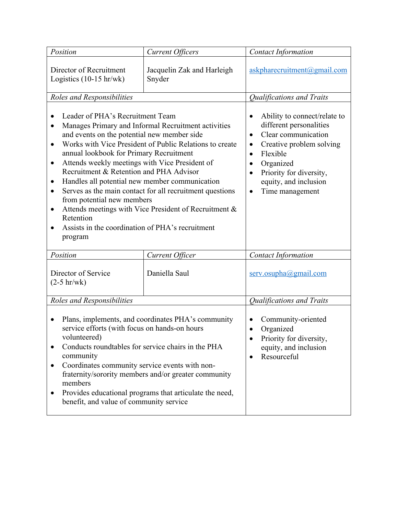| Position                                                                                                                                                                                                                                                                                                                                                                                                                                                                                                                                                                                                                                                                                                      | <b>Current Officers</b>              | <b>Contact Information</b>                                                                                                                                                                                                                                                                    |
|---------------------------------------------------------------------------------------------------------------------------------------------------------------------------------------------------------------------------------------------------------------------------------------------------------------------------------------------------------------------------------------------------------------------------------------------------------------------------------------------------------------------------------------------------------------------------------------------------------------------------------------------------------------------------------------------------------------|--------------------------------------|-----------------------------------------------------------------------------------------------------------------------------------------------------------------------------------------------------------------------------------------------------------------------------------------------|
| Director of Recruitment<br>Logistics $(10-15 \text{ hr/wk})$                                                                                                                                                                                                                                                                                                                                                                                                                                                                                                                                                                                                                                                  | Jacquelin Zak and Harleigh<br>Snyder | askpharecruitment@gmail.com                                                                                                                                                                                                                                                                   |
| Roles and Responsibilities                                                                                                                                                                                                                                                                                                                                                                                                                                                                                                                                                                                                                                                                                    |                                      | Qualifications and Traits                                                                                                                                                                                                                                                                     |
| Leader of PHA's Recruitment Team<br>Manages Primary and Informal Recruitment activities<br>$\bullet$<br>and events on the potential new member side<br>Works with Vice President of Public Relations to create<br>$\bullet$<br>annual lookbook for Primary Recruitment<br>Attends weekly meetings with Vice President of<br>$\bullet$<br>Recruitment & Retention and PHA Advisor<br>Handles all potential new member communication<br>٠<br>Serves as the main contact for all recruitment questions<br>$\bullet$<br>from potential new members<br>Attends meetings with Vice President of Recruitment &<br>$\bullet$<br>Retention<br>Assists in the coordination of PHA's recruitment<br>$\bullet$<br>program |                                      | Ability to connect/relate to<br>٠<br>different personalities<br>Clear communication<br>$\bullet$<br>Creative problem solving<br>$\bullet$<br>Flexible<br>$\bullet$<br>Organized<br>$\bullet$<br>Priority for diversity,<br>$\bullet$<br>equity, and inclusion<br>Time management<br>$\bullet$ |
| Position                                                                                                                                                                                                                                                                                                                                                                                                                                                                                                                                                                                                                                                                                                      | Current Officer                      | <b>Contact Information</b>                                                                                                                                                                                                                                                                    |
| Director of Service<br>$(2-5 hr/wk)$                                                                                                                                                                                                                                                                                                                                                                                                                                                                                                                                                                                                                                                                          | Daniella Saul                        | serv.osupha@gmail.com                                                                                                                                                                                                                                                                         |
| Roles and Responsibilities                                                                                                                                                                                                                                                                                                                                                                                                                                                                                                                                                                                                                                                                                    |                                      | Qualifications and Traits                                                                                                                                                                                                                                                                     |
| Plans, implements, and coordinates PHA's community<br>$\bullet$<br>service efforts (with focus on hands-on hours<br>volunteered)<br>Conducts roundtables for service chairs in the PHA<br>$\bullet$<br>community<br>Coordinates community service events with non-<br>٠<br>fraternity/sorority members and/or greater community<br>members<br>Provides educational programs that articulate the need,<br>٠<br>benefit, and value of community service                                                                                                                                                                                                                                                         |                                      | Community-oriented<br>$\bullet$<br>Organized<br>$\bullet$<br>Priority for diversity,<br>equity, and inclusion<br>Resourceful<br>$\bullet$                                                                                                                                                     |